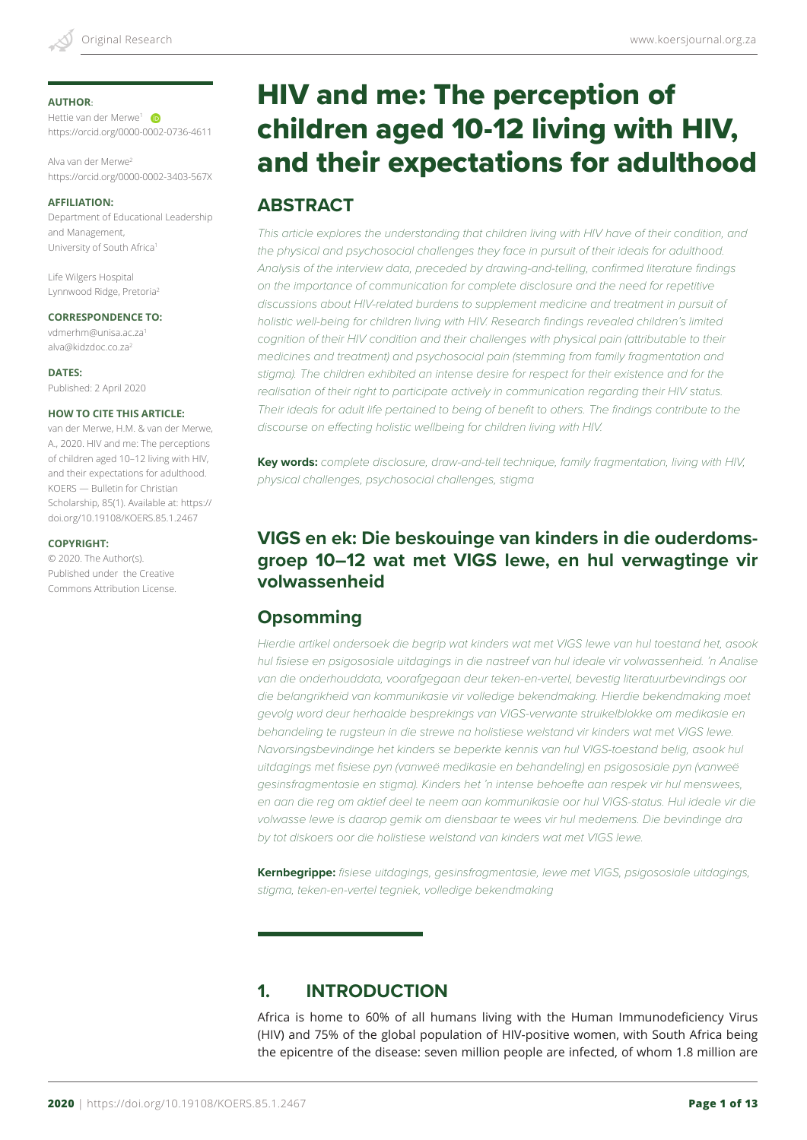#### **AUTHOR**:

Hettie van der Merwe<sup>1</sup> https://orcid.org/0000-0002-0736-4611

Alva van der Merwe2 https://orcid.org/0000-0002-3403-567X

#### **AFFILIATION:**

Department of Educational Leadership and Management, University of South Africa1

Life Wilgers Hospital Lynnwood Ridge, Pretoria2

#### **CORRESPONDENCE TO:**

vdmerhm@unisa.ac.za1 alva@kidzdoc.co.za2

#### **DATES:**

Published: 2 April 2020

#### **HOW TO CITE THIS ARTICLE:**

van der Merwe, H.M. & van der Merwe, A., 2020. HIV and me: The perceptions of children aged 10–12 living with HIV, and their expectations for adulthood. KOERS — Bulletin for Christian Scholarship, 85(1). Available at: https:// doi.org/10.19108/KOERS.85.1.2467

#### **COPYRIGHT:**

© 2020. The Author(s). Published under the Creative Commons Attribution License.

# HIV and me: The perception of children aged 10-12 living with HIV, and their expectations for adulthood

## **ABSTRACT**

This article explores the understanding that children living with HIV have of their condition, and *the physical and psychosocial challenges they face in pursuit of their ideals for adulthood. Analysis of the interview data, preceded by drawing-and-telling, confirmed literature findings on the importance of communication for complete disclosure and the need for repetitive discussions about HIV-related burdens to supplement medicine and treatment in pursuit of holistic well-being for children living with HIV. Research findings revealed children's limited*  cognition of their HIV condition and their challenges with physical pain (attributable to their *medicines and treatment) and psychosocial pain (stemming from family fragmentation and stigma). The children exhibited an intense desire for respect for their existence and for the*  realisation of their right to participate actively in communication regarding their HIV status. *Their ideals for adult life pertained to being of benefit to others. The findings contribute to the discourse on effecting holistic wellbeing for children living with HIV.* 

**Key words:** *complete disclosure, draw-and-tell technique, family fragmentation, living with HIV, physical challenges, psychosocial challenges, stigma*

## **VIGS en ek: Die beskouinge van kinders in die ouderdomsgroep 10–12 wat met VIGS lewe, en hul verwagtinge vir volwassenheid**

## **Opsomming**

*Hierdie artikel ondersoek die begrip wat kinders wat met VIGS lewe van hul toestand het, asook hul fisiese en psigososiale uitdagings in die nastreef van hul ideale vir volwassenheid. 'n Analise van die onderhouddata, voorafgegaan deur teken-en-vertel, bevestig literatuurbevindings oor die belangrikheid van kommunikasie vir volledige bekendmaking. Hierdie bekendmaking moet gevolg word deur herhaalde besprekings van VIGS-verwante struikelblokke om medikasie en behandeling te rugsteun in die strewe na holistiese welstand vir kinders wat met VIGS lewe. Navorsingsbevindinge het kinders se beperkte kennis van hul VIGS-toestand belig, asook hul uitdagings met fisiese pyn (vanweë medikasie en behandeling) en psigososiale pyn (vanweë gesinsfragmentasie en stigma). Kinders het 'n intense behoefte aan respek vir hul menswees, en aan die reg om aktief deel te neem aan kommunikasie oor hul VIGS-status. Hul ideale vir die volwasse lewe is daarop gemik om diensbaar te wees vir hul medemens. Die bevindinge dra by tot diskoers oor die holistiese welstand van kinders wat met VIGS lewe.*

**Kernbegrippe:** *fisiese uitdagings, gesinsfragmentasie, lewe met VIGS, psigososiale uitdagings, stigma, teken-en-vertel tegniek, volledige bekendmaking* 

# **1. INTRODUCTION**

Africa is home to 60% of all humans living with the Human Immunodeficiency Virus (HIV) and 75% of the global population of HIV-positive women, with South Africa being the epicentre of the disease: seven million people are infected, of whom 1.8 million are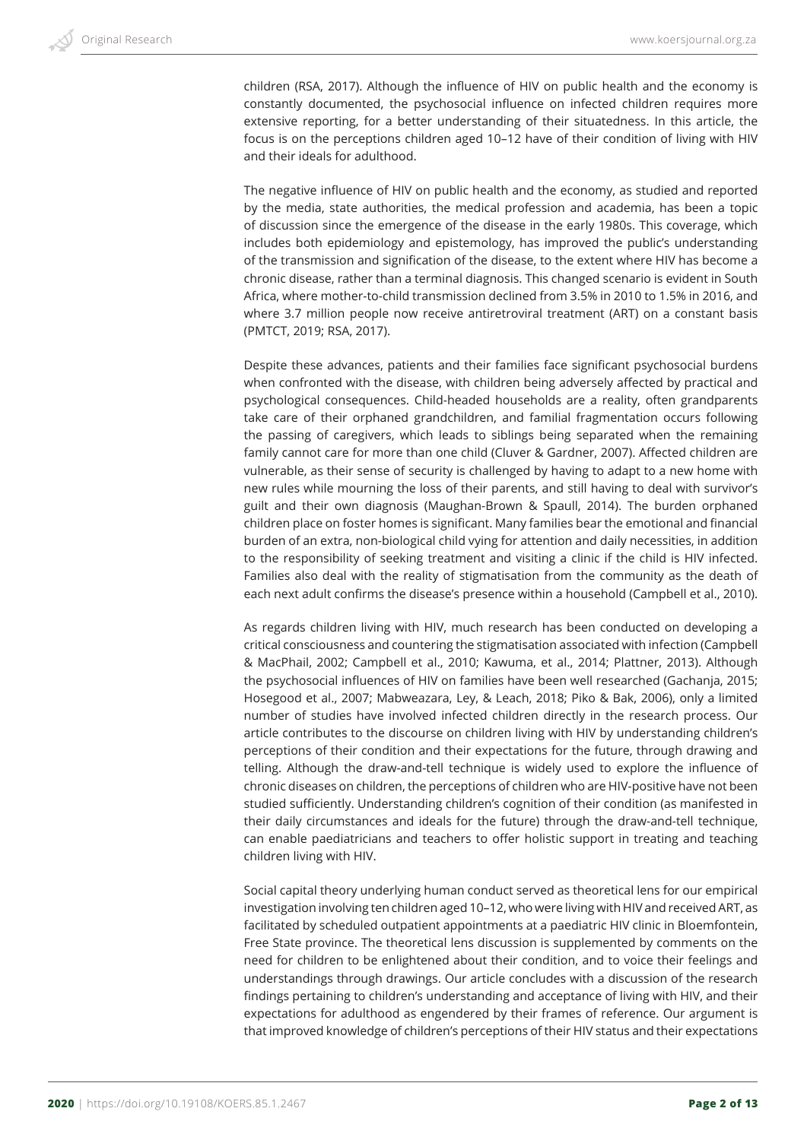children (RSA, 2017). Although the influence of HIV on public health and the economy is constantly documented, the psychosocial influence on infected children requires more extensive reporting, for a better understanding of their situatedness. In this article, the focus is on the perceptions children aged 10–12 have of their condition of living with HIV and their ideals for adulthood.

The negative influence of HIV on public health and the economy, as studied and reported by the media, state authorities, the medical profession and academia, has been a topic of discussion since the emergence of the disease in the early 1980s. This coverage, which includes both epidemiology and epistemology, has improved the public's understanding of the transmission and signification of the disease, to the extent where HIV has become a chronic disease, rather than a terminal diagnosis. This changed scenario is evident in South Africa, where mother-to-child transmission declined from 3.5% in 2010 to 1.5% in 2016, and where 3.7 million people now receive antiretroviral treatment (ART) on a constant basis (PMTCT, 2019; RSA, 2017).

Despite these advances, patients and their families face significant psychosocial burdens when confronted with the disease, with children being adversely affected by practical and psychological consequences. Child-headed households are a reality, often grandparents take care of their orphaned grandchildren, and familial fragmentation occurs following the passing of caregivers, which leads to siblings being separated when the remaining family cannot care for more than one child (Cluver & Gardner, 2007). Affected children are vulnerable, as their sense of security is challenged by having to adapt to a new home with new rules while mourning the loss of their parents, and still having to deal with survivor's guilt and their own diagnosis (Maughan-Brown & Spaull, 2014). The burden orphaned children place on foster homes is significant. Many families bear the emotional and financial burden of an extra, non-biological child vying for attention and daily necessities, in addition to the responsibility of seeking treatment and visiting a clinic if the child is HIV infected. Families also deal with the reality of stigmatisation from the community as the death of each next adult confirms the disease's presence within a household (Campbell et al., 2010).

As regards children living with HIV, much research has been conducted on developing a critical consciousness and countering the stigmatisation associated with infection (Campbell & MacPhail, 2002; Campbell et al., 2010; Kawuma, et al., 2014; Plattner, 2013). Although the psychosocial influences of HIV on families have been well researched (Gachanja, 2015; Hosegood et al., 2007; Mabweazara, Ley, & Leach, 2018; Piko & Bak, 2006), only a limited number of studies have involved infected children directly in the research process. Our article contributes to the discourse on children living with HIV by understanding children's perceptions of their condition and their expectations for the future, through drawing and telling. Although the draw-and-tell technique is widely used to explore the influence of chronic diseases on children, the perceptions of children who are HIV-positive have not been studied sufficiently. Understanding children's cognition of their condition (as manifested in their daily circumstances and ideals for the future) through the draw-and-tell technique, can enable paediatricians and teachers to offer holistic support in treating and teaching children living with HIV.

Social capital theory underlying human conduct served as theoretical lens for our empirical investigation involving ten children aged 10–12, who were living with HIV and received ART, as facilitated by scheduled outpatient appointments at a paediatric HIV clinic in Bloemfontein, Free State province. The theoretical lens discussion is supplemented by comments on the need for children to be enlightened about their condition, and to voice their feelings and understandings through drawings. Our article concludes with a discussion of the research findings pertaining to children's understanding and acceptance of living with HIV, and their expectations for adulthood as engendered by their frames of reference. Our argument is that improved knowledge of children's perceptions of their HIV status and their expectations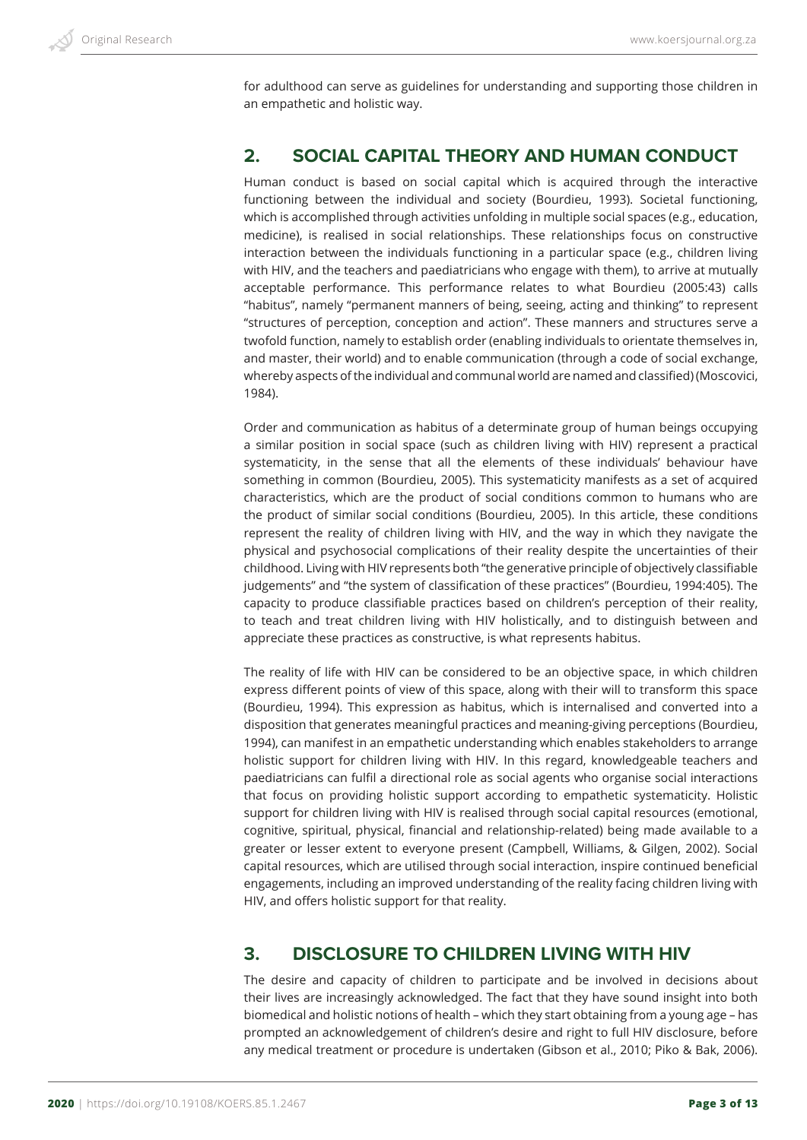for adulthood can serve as guidelines for understanding and supporting those children in an empathetic and holistic way.

## **2. SOCIAL CAPITAL THEORY AND HUMAN CONDUCT**

Human conduct is based on social capital which is acquired through the interactive functioning between the individual and society (Bourdieu, 1993). Societal functioning, which is accomplished through activities unfolding in multiple social spaces (e.g., education, medicine), is realised in social relationships. These relationships focus on constructive interaction between the individuals functioning in a particular space (e.g., children living with HIV, and the teachers and paediatricians who engage with them), to arrive at mutually acceptable performance. This performance relates to what Bourdieu (2005:43) calls "habitus", namely "permanent manners of being, seeing, acting and thinking" to represent "structures of perception, conception and action". These manners and structures serve a twofold function, namely to establish order (enabling individuals to orientate themselves in, and master, their world) and to enable communication (through a code of social exchange, whereby aspects of the individual and communal world are named and classified) (Moscovici, 1984).

Order and communication as habitus of a determinate group of human beings occupying a similar position in social space (such as children living with HIV) represent a practical systematicity, in the sense that all the elements of these individuals' behaviour have something in common (Bourdieu, 2005). This systematicity manifests as a set of acquired characteristics, which are the product of social conditions common to humans who are the product of similar social conditions (Bourdieu, 2005). In this article, these conditions represent the reality of children living with HIV, and the way in which they navigate the physical and psychosocial complications of their reality despite the uncertainties of their childhood. Living with HIV represents both "the generative principle of objectively classifiable judgements" and "the system of classification of these practices" (Bourdieu, 1994:405). The capacity to produce classifiable practices based on children's perception of their reality, to teach and treat children living with HIV holistically, and to distinguish between and appreciate these practices as constructive, is what represents habitus.

The reality of life with HIV can be considered to be an objective space, in which children express different points of view of this space, along with their will to transform this space (Bourdieu, 1994). This expression as habitus, which is internalised and converted into a disposition that generates meaningful practices and meaning-giving perceptions (Bourdieu, 1994), can manifest in an empathetic understanding which enables stakeholders to arrange holistic support for children living with HIV. In this regard, knowledgeable teachers and paediatricians can fulfil a directional role as social agents who organise social interactions that focus on providing holistic support according to empathetic systematicity. Holistic support for children living with HIV is realised through social capital resources (emotional, cognitive, spiritual, physical, financial and relationship-related) being made available to a greater or lesser extent to everyone present (Campbell, Williams, & Gilgen, 2002). Social capital resources, which are utilised through social interaction, inspire continued beneficial engagements, including an improved understanding of the reality facing children living with HIV, and offers holistic support for that reality.

## **3. DISCLOSURE TO CHILDREN LIVING WITH HIV**

The desire and capacity of children to participate and be involved in decisions about their lives are increasingly acknowledged. The fact that they have sound insight into both biomedical and holistic notions of health – which they start obtaining from a young age – has prompted an acknowledgement of children's desire and right to full HIV disclosure, before any medical treatment or procedure is undertaken (Gibson et al., 2010; Piko & Bak, 2006).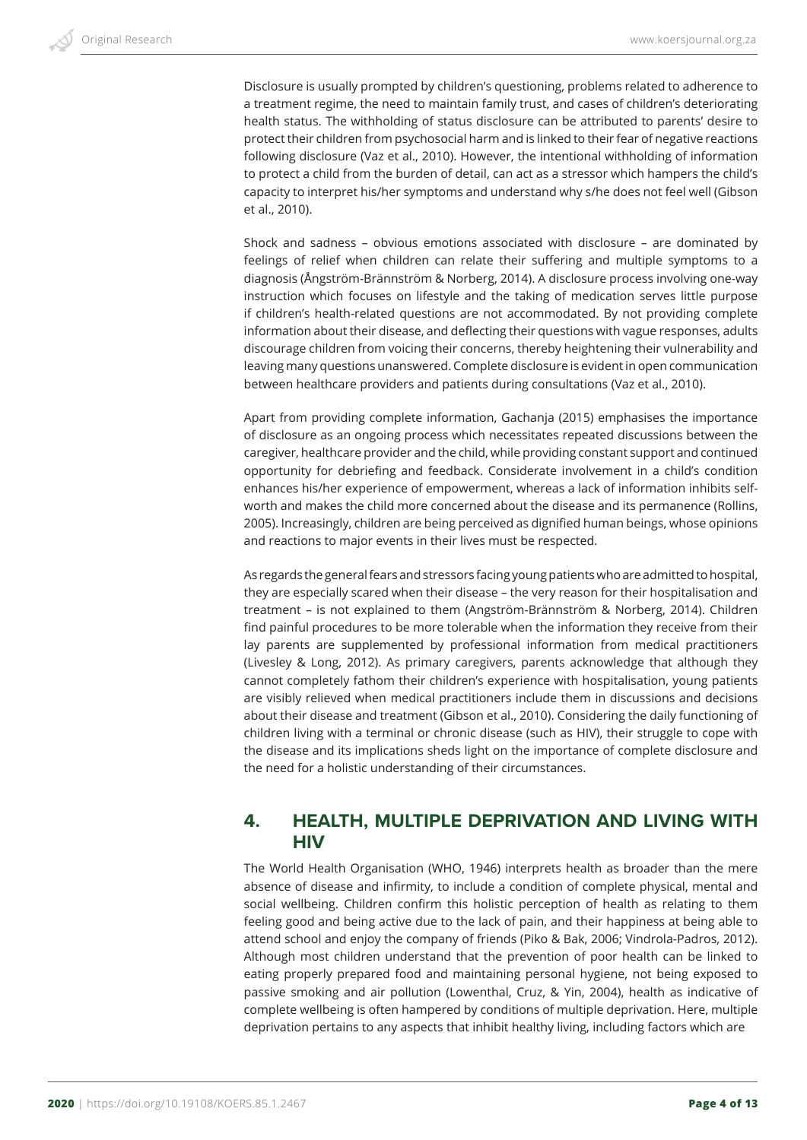Disclosure is usually prompted by children's questioning, problems related to adherence to a treatment regime, the need to maintain family trust, and cases of children's deteriorating health status. The withholding of status disclosure can be attributed to parents' desire to protect their children from psychosocial harm and is linked to their fear of negative reactions following disclosure (Vaz et al., 2010). However, the intentional withholding of information to protect a child from the burden of detail, can act as a stressor which hampers the child's capacity to interpret his/her symptoms and understand why s/he does not feel well (Gibson et al., 2010).

Shock and sadness – obvious emotions associated with disclosure – are dominated by feelings of relief when children can relate their suffering and multiple symptoms to a diagnosis (Ångström-Brännström & Norberg, 2014). A disclosure process involving one-way instruction which focuses on lifestyle and the taking of medication serves little purpose if children's health-related questions are not accommodated. By not providing complete information about their disease, and deflecting their questions with vague responses, adults discourage children from voicing their concerns, thereby heightening their vulnerability and leaving many questions unanswered. Complete disclosure is evident in open communication between healthcare providers and patients during consultations (Vaz et al., 2010).

Apart from providing complete information, Gachanja (2015) emphasises the importance of disclosure as an ongoing process which necessitates repeated discussions between the caregiver, healthcare provider and the child, while providing constant support and continued opportunity for debriefing and feedback. Considerate involvement in a child's condition enhances his/her experience of empowerment, whereas a lack of information inhibits selfworth and makes the child more concerned about the disease and its permanence (Rollins, 2005). Increasingly, children are being perceived as dignified human beings, whose opinions and reactions to major events in their lives must be respected.

As regards the general fears and stressors facing young patients who are admitted to hospital, they are especially scared when their disease – the very reason for their hospitalisation and treatment – is not explained to them (Angström-Brännström & Norberg, 2014). Children find painful procedures to be more tolerable when the information they receive from their lay parents are supplemented by professional information from medical practitioners (Livesley & Long, 2012). As primary caregivers, parents acknowledge that although they cannot completely fathom their children's experience with hospitalisation, young patients are visibly relieved when medical practitioners include them in discussions and decisions about their disease and treatment (Gibson et al., 2010). Considering the daily functioning of children living with a terminal or chronic disease (such as HIV), their struggle to cope with the disease and its implications sheds light on the importance of complete disclosure and the need for a holistic understanding of their circumstances.

## **4. HEALTH, MULTIPLE DEPRIVATION AND LIVING WITH HIV**

The World Health Organisation (WHO, 1946) interprets health as broader than the mere absence of disease and infirmity, to include a condition of complete physical, mental and social wellbeing. Children confirm this holistic perception of health as relating to them feeling good and being active due to the lack of pain, and their happiness at being able to attend school and enjoy the company of friends (Piko & Bak, 2006; Vindrola-Padros, 2012). Although most children understand that the prevention of poor health can be linked to eating properly prepared food and maintaining personal hygiene, not being exposed to passive smoking and air pollution (Lowenthal, Cruz, & Yin, 2004), health as indicative of complete wellbeing is often hampered by conditions of multiple deprivation. Here, multiple deprivation pertains to any aspects that inhibit healthy living, including factors which are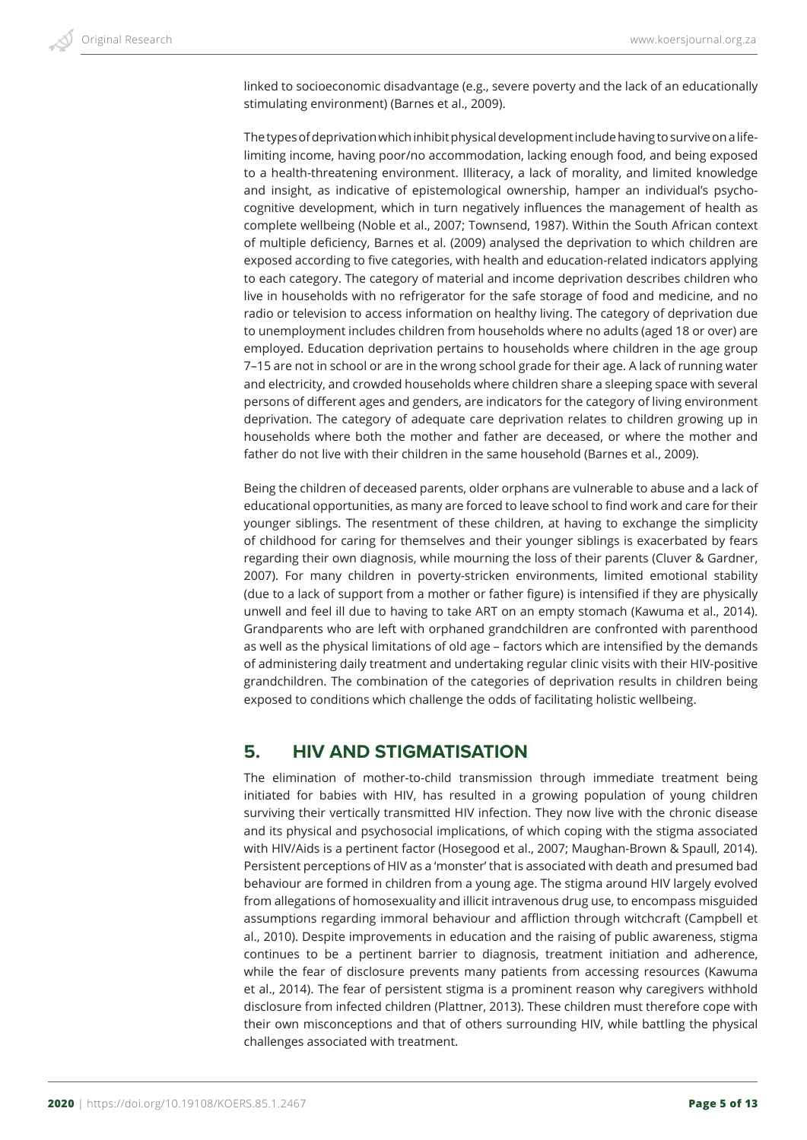linked to socioeconomic disadvantage (e.g., severe poverty and the lack of an educationally stimulating environment) (Barnes et al., 2009).

The types of deprivation which inhibit physical development include having to survive on a lifelimiting income, having poor/no accommodation, lacking enough food, and being exposed to a health-threatening environment. Illiteracy, a lack of morality, and limited knowledge and insight, as indicative of epistemological ownership, hamper an individual's psychocognitive development, which in turn negatively influences the management of health as complete wellbeing (Noble et al., 2007; Townsend, 1987). Within the South African context of multiple deficiency, Barnes et al. (2009) analysed the deprivation to which children are exposed according to five categories, with health and education-related indicators applying to each category. The category of material and income deprivation describes children who live in households with no refrigerator for the safe storage of food and medicine, and no radio or television to access information on healthy living. The category of deprivation due to unemployment includes children from households where no adults (aged 18 or over) are employed. Education deprivation pertains to households where children in the age group 7–15 are not in school or are in the wrong school grade for their age. A lack of running water and electricity, and crowded households where children share a sleeping space with several persons of different ages and genders, are indicators for the category of living environment deprivation. The category of adequate care deprivation relates to children growing up in households where both the mother and father are deceased, or where the mother and father do not live with their children in the same household (Barnes et al., 2009).

Being the children of deceased parents, older orphans are vulnerable to abuse and a lack of educational opportunities, as many are forced to leave school to find work and care for their younger siblings. The resentment of these children, at having to exchange the simplicity of childhood for caring for themselves and their younger siblings is exacerbated by fears regarding their own diagnosis, while mourning the loss of their parents (Cluver & Gardner, 2007). For many children in poverty-stricken environments, limited emotional stability (due to a lack of support from a mother or father figure) is intensified if they are physically unwell and feel ill due to having to take ART on an empty stomach (Kawuma et al., 2014). Grandparents who are left with orphaned grandchildren are confronted with parenthood as well as the physical limitations of old age – factors which are intensified by the demands of administering daily treatment and undertaking regular clinic visits with their HIV-positive grandchildren. The combination of the categories of deprivation results in children being exposed to conditions which challenge the odds of facilitating holistic wellbeing.

## **5. HIV AND STIGMATISATION**

The elimination of mother-to-child transmission through immediate treatment being initiated for babies with HIV, has resulted in a growing population of young children surviving their vertically transmitted HIV infection. They now live with the chronic disease and its physical and psychosocial implications, of which coping with the stigma associated with HIV/Aids is a pertinent factor (Hosegood et al., 2007; Maughan-Brown & Spaull, 2014). Persistent perceptions of HIV as a 'monster' that is associated with death and presumed bad behaviour are formed in children from a young age. The stigma around HIV largely evolved from allegations of homosexuality and illicit intravenous drug use, to encompass misguided assumptions regarding immoral behaviour and affliction through witchcraft (Campbell et al., 2010). Despite improvements in education and the raising of public awareness, stigma continues to be a pertinent barrier to diagnosis, treatment initiation and adherence, while the fear of disclosure prevents many patients from accessing resources (Kawuma et al., 2014). The fear of persistent stigma is a prominent reason why caregivers withhold disclosure from infected children (Plattner, 2013). These children must therefore cope with their own misconceptions and that of others surrounding HIV, while battling the physical challenges associated with treatment.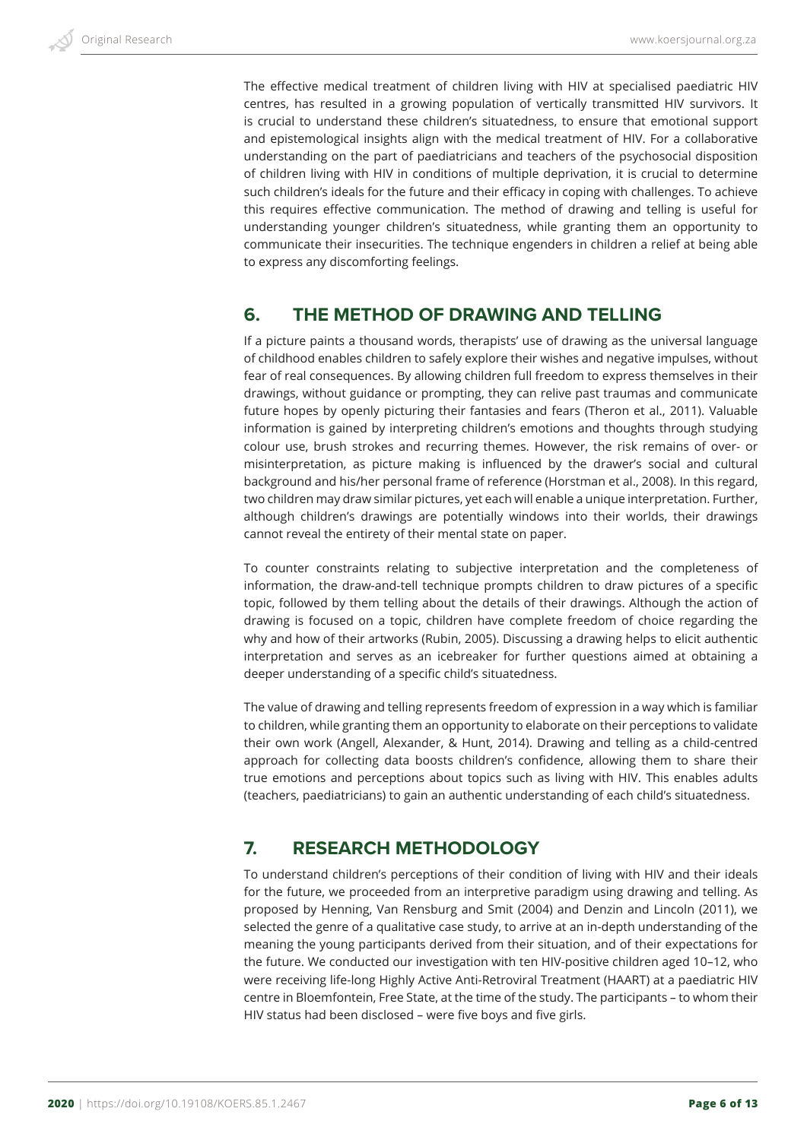The effective medical treatment of children living with HIV at specialised paediatric HIV centres, has resulted in a growing population of vertically transmitted HIV survivors. It is crucial to understand these children's situatedness, to ensure that emotional support and epistemological insights align with the medical treatment of HIV. For a collaborative understanding on the part of paediatricians and teachers of the psychosocial disposition of children living with HIV in conditions of multiple deprivation, it is crucial to determine such children's ideals for the future and their efficacy in coping with challenges. To achieve this requires effective communication. The method of drawing and telling is useful for understanding younger children's situatedness, while granting them an opportunity to communicate their insecurities. The technique engenders in children a relief at being able to express any discomforting feelings.

## **6. THE METHOD OF DRAWING AND TELLING**

If a picture paints a thousand words, therapists' use of drawing as the universal language of childhood enables children to safely explore their wishes and negative impulses, without fear of real consequences. By allowing children full freedom to express themselves in their drawings, without guidance or prompting, they can relive past traumas and communicate future hopes by openly picturing their fantasies and fears (Theron et al., 2011). Valuable information is gained by interpreting children's emotions and thoughts through studying colour use, brush strokes and recurring themes. However, the risk remains of over- or misinterpretation, as picture making is influenced by the drawer's social and cultural background and his/her personal frame of reference (Horstman et al., 2008). In this regard, two children may draw similar pictures, yet each will enable a unique interpretation. Further, although children's drawings are potentially windows into their worlds, their drawings cannot reveal the entirety of their mental state on paper.

To counter constraints relating to subjective interpretation and the completeness of information, the draw-and-tell technique prompts children to draw pictures of a specific topic, followed by them telling about the details of their drawings. Although the action of drawing is focused on a topic, children have complete freedom of choice regarding the why and how of their artworks (Rubin, 2005). Discussing a drawing helps to elicit authentic interpretation and serves as an icebreaker for further questions aimed at obtaining a deeper understanding of a specific child's situatedness.

The value of drawing and telling represents freedom of expression in a way which is familiar to children, while granting them an opportunity to elaborate on their perceptions to validate their own work (Angell, Alexander, & Hunt, 2014). Drawing and telling as a child-centred approach for collecting data boosts children's confidence, allowing them to share their true emotions and perceptions about topics such as living with HIV. This enables adults (teachers, paediatricians) to gain an authentic understanding of each child's situatedness.

# **7. RESEARCH METHODOLOGY**

To understand children's perceptions of their condition of living with HIV and their ideals for the future, we proceeded from an interpretive paradigm using drawing and telling. As proposed by Henning, Van Rensburg and Smit (2004) and Denzin and Lincoln (2011), we selected the genre of a qualitative case study, to arrive at an in-depth understanding of the meaning the young participants derived from their situation, and of their expectations for the future. We conducted our investigation with ten HIV-positive children aged 10–12, who were receiving life-long Highly Active Anti-Retroviral Treatment (HAART) at a paediatric HIV centre in Bloemfontein, Free State, at the time of the study. The participants – to whom their HIV status had been disclosed – were five boys and five girls.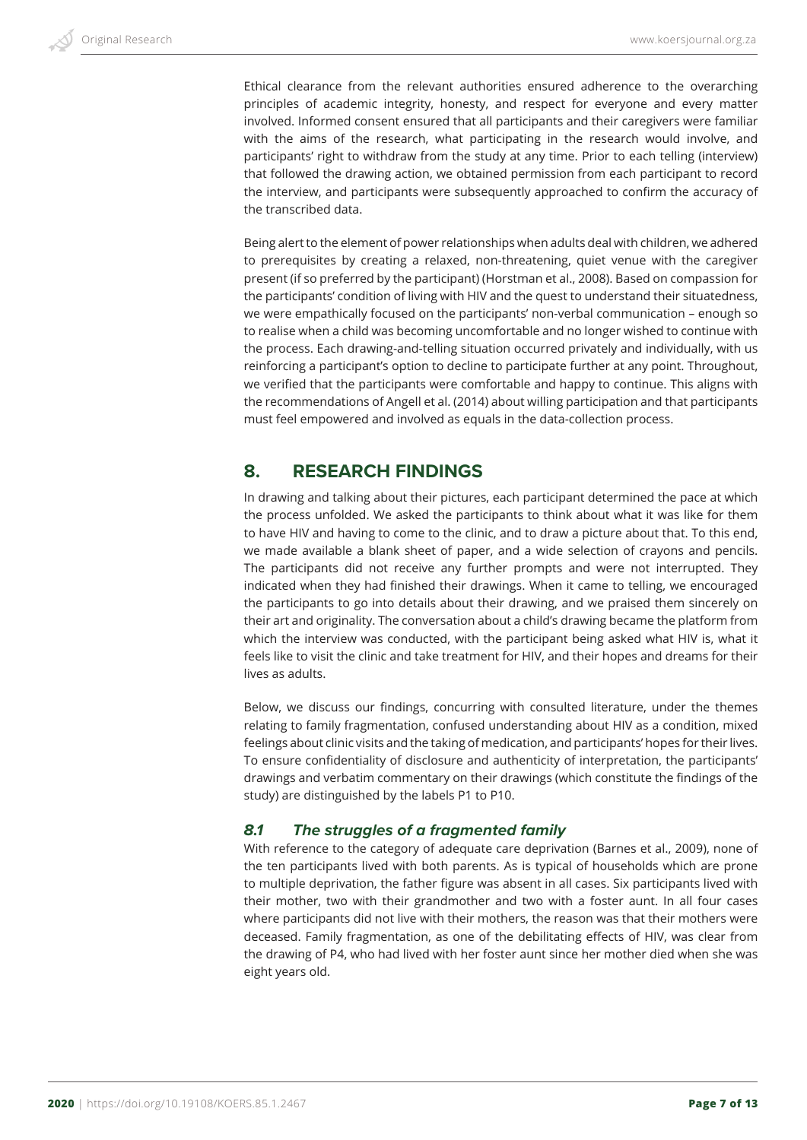Ethical clearance from the relevant authorities ensured adherence to the overarching principles of academic integrity, honesty, and respect for everyone and every matter involved. Informed consent ensured that all participants and their caregivers were familiar with the aims of the research, what participating in the research would involve, and participants' right to withdraw from the study at any time. Prior to each telling (interview) that followed the drawing action, we obtained permission from each participant to record the interview, and participants were subsequently approached to confirm the accuracy of the transcribed data.

Being alert to the element of power relationships when adults deal with children, we adhered to prerequisites by creating a relaxed, non-threatening, quiet venue with the caregiver present (if so preferred by the participant) (Horstman et al., 2008). Based on compassion for the participants' condition of living with HIV and the quest to understand their situatedness, we were empathically focused on the participants' non-verbal communication – enough so to realise when a child was becoming uncomfortable and no longer wished to continue with the process. Each drawing-and-telling situation occurred privately and individually, with us reinforcing a participant's option to decline to participate further at any point. Throughout, we verified that the participants were comfortable and happy to continue. This aligns with the recommendations of Angell et al. (2014) about willing participation and that participants must feel empowered and involved as equals in the data-collection process.

## **8. RESEARCH FINDINGS**

In drawing and talking about their pictures, each participant determined the pace at which the process unfolded. We asked the participants to think about what it was like for them to have HIV and having to come to the clinic, and to draw a picture about that. To this end, we made available a blank sheet of paper, and a wide selection of crayons and pencils. The participants did not receive any further prompts and were not interrupted. They indicated when they had finished their drawings. When it came to telling, we encouraged the participants to go into details about their drawing, and we praised them sincerely on their art and originality. The conversation about a child's drawing became the platform from which the interview was conducted, with the participant being asked what HIV is, what it feels like to visit the clinic and take treatment for HIV, and their hopes and dreams for their lives as adults.

Below, we discuss our findings, concurring with consulted literature, under the themes relating to family fragmentation, confused understanding about HIV as a condition, mixed feelings about clinic visits and the taking of medication, and participants' hopes for their lives. To ensure confidentiality of disclosure and authenticity of interpretation, the participants' drawings and verbatim commentary on their drawings (which constitute the findings of the study) are distinguished by the labels P1 to P10.

#### *8.1 The struggles of a fragmented family*

With reference to the category of adequate care deprivation (Barnes et al., 2009), none of the ten participants lived with both parents. As is typical of households which are prone to multiple deprivation, the father figure was absent in all cases. Six participants lived with their mother, two with their grandmother and two with a foster aunt. In all four cases where participants did not live with their mothers, the reason was that their mothers were deceased. Family fragmentation, as one of the debilitating effects of HIV, was clear from the drawing of P4, who had lived with her foster aunt since her mother died when she was eight years old.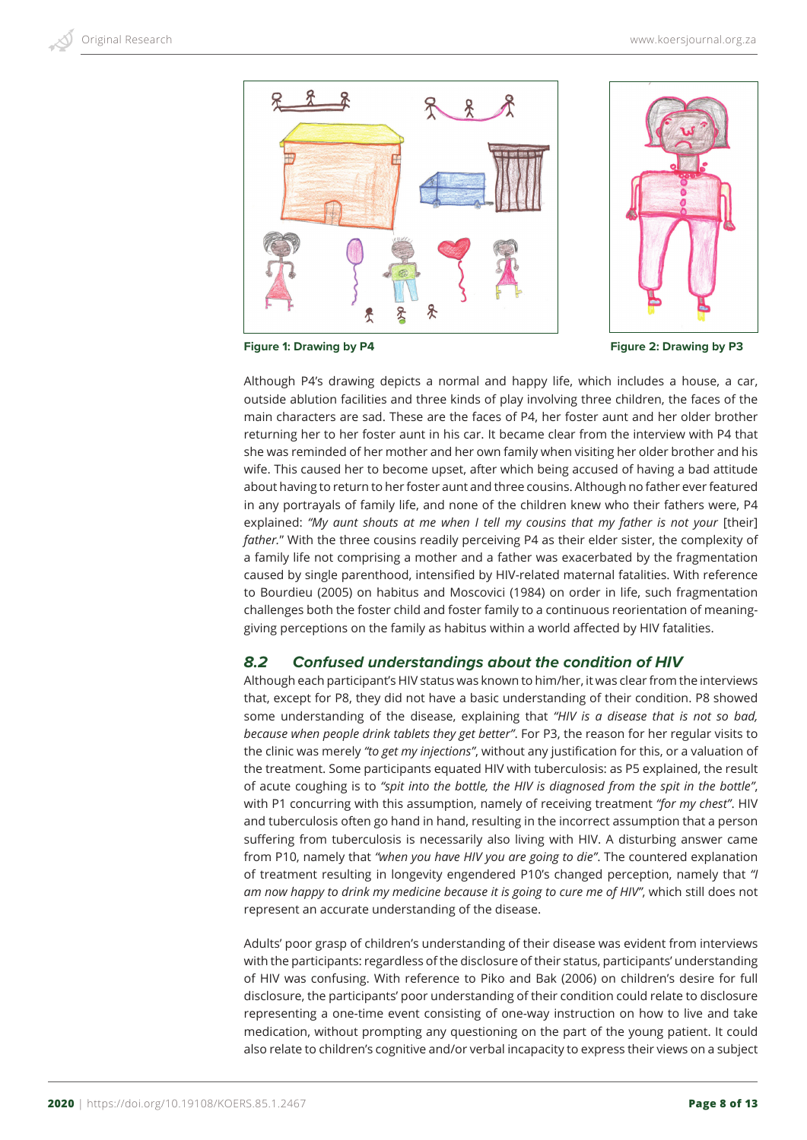

**Figure 1: Drawing by P4 Figure 2: Drawing by P3** 

Although P4's drawing depicts a normal and happy life, which includes a house, a car, outside ablution facilities and three kinds of play involving three children, the faces of the main characters are sad. These are the faces of P4, her foster aunt and her older brother returning her to her foster aunt in his car. It became clear from the interview with P4 that she was reminded of her mother and her own family when visiting her older brother and his wife. This caused her to become upset, after which being accused of having a bad attitude about having to return to her foster aunt and three cousins. Although no father ever featured in any portrayals of family life, and none of the children knew who their fathers were, P4 explained: "My aunt shouts at me when I tell my cousins that my father is not your [their] *father.*" With the three cousins readily perceiving P4 as their elder sister, the complexity of a family life not comprising a mother and a father was exacerbated by the fragmentation caused by single parenthood, intensified by HIV-related maternal fatalities. With reference to Bourdieu (2005) on habitus and Moscovici (1984) on order in life, such fragmentation challenges both the foster child and foster family to a continuous reorientation of meaninggiving perceptions on the family as habitus within a world affected by HIV fatalities.

#### *8.2 Confused understandings about the condition of HIV*

Although each participant's HIV status was known to him/her, it was clear from the interviews that, except for P8, they did not have a basic understanding of their condition. P8 showed some understanding of the disease, explaining that *"HIV is a disease that is not so bad, because when people drink tablets they get better"*. For P3, the reason for her regular visits to the clinic was merely *"to get my injections"*, without any justification for this, or a valuation of the treatment. Some participants equated HIV with tuberculosis: as P5 explained, the result of acute coughing is to *"spit into the bottle, the HIV is diagnosed from the spit in the bottle"*, with P1 concurring with this assumption, namely of receiving treatment *"for my chest"*. HIV and tuberculosis often go hand in hand, resulting in the incorrect assumption that a person suffering from tuberculosis is necessarily also living with HIV. A disturbing answer came from P10, namely that *"when you have HIV you are going to die"*. The countered explanation of treatment resulting in longevity engendered P10's changed perception, namely that *"I am now happy to drink my medicine because it is going to cure me of HIV"*, which still does not represent an accurate understanding of the disease.

Adults' poor grasp of children's understanding of their disease was evident from interviews with the participants: regardless of the disclosure of their status, participants' understanding of HIV was confusing. With reference to Piko and Bak (2006) on children's desire for full disclosure, the participants' poor understanding of their condition could relate to disclosure representing a one-time event consisting of one-way instruction on how to live and take medication, without prompting any questioning on the part of the young patient. It could also relate to children's cognitive and/or verbal incapacity to express their views on a subject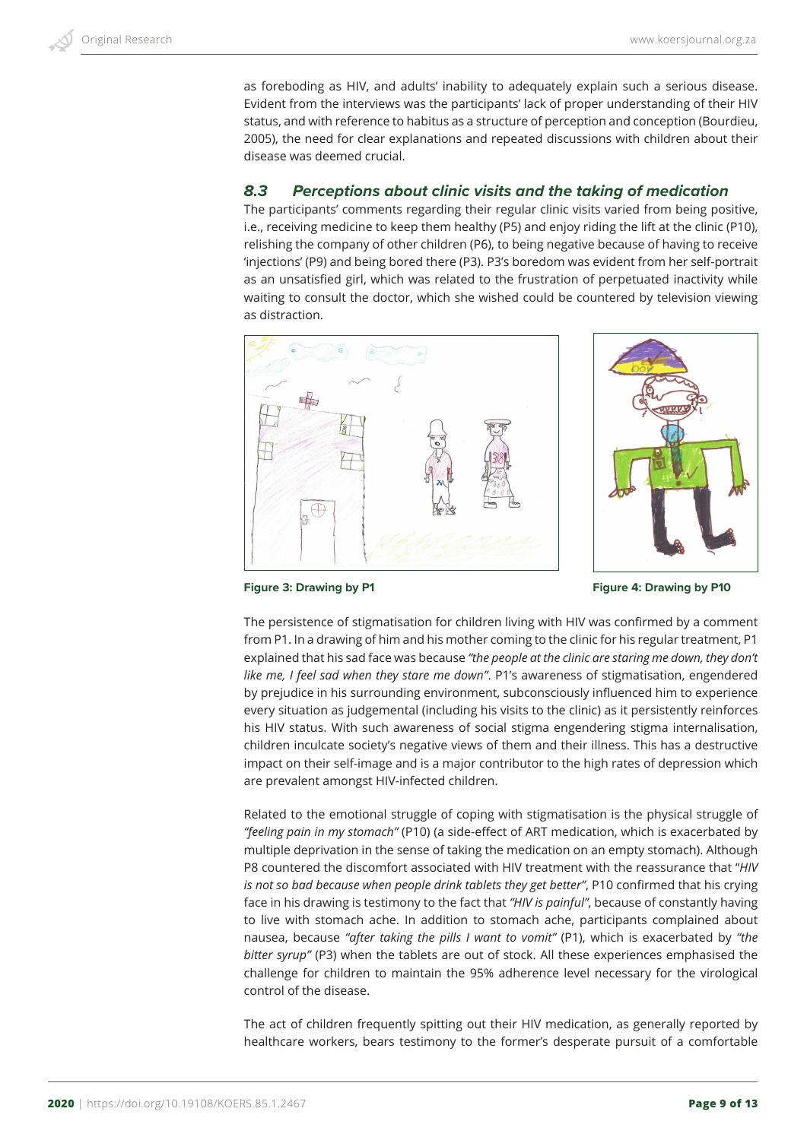as foreboding as HIV, and adults' inability to adequately explain such a serious disease. Evident from the interviews was the participants' lack of proper understanding of their HIV status, and with reference to habitus as a structure of perception and conception (Bourdieu, 2005), the need for clear explanations and repeated discussions with children about their disease was deemed crucial.

#### *8.3 Perceptions about clinic visits and the taking of medication*

The participants' comments regarding their regular clinic visits varied from being positive, i.e., receiving medicine to keep them healthy (P5) and enjoy riding the lift at the clinic (P10), relishing the company of other children (P6), to being negative because of having to receive 'injections' (P9) and being bored there (P3). P3's boredom was evident from her self-portrait as an unsatisfied girl, which was related to the frustration of perpetuated inactivity while waiting to consult the doctor, which she wished could be countered by television viewing as distraction.





**Figure 3: Drawing by P1 Figure 4: Drawing by P10** 

The persistence of stigmatisation for children living with HIV was confirmed by a comment from P1. In a drawing of him and his mother coming to the clinic for his regular treatment, P1 explained that his sad face was because *"the people at the clinic are staring me down, they don't like me, I feel sad when they stare me down"*. P1's awareness of stigmatisation, engendered by prejudice in his surrounding environment, subconsciously influenced him to experience every situation as judgemental (including his visits to the clinic) as it persistently reinforces his HIV status. With such awareness of social stigma engendering stigma internalisation, children inculcate society's negative views of them and their illness. This has a destructive impact on their self-image and is a major contributor to the high rates of depression which are prevalent amongst HIV-infected children.

Related to the emotional struggle of coping with stigmatisation is the physical struggle of *"feeling pain in my stomach"* (P10) (a side-effect of ART medication, which is exacerbated by multiple deprivation in the sense of taking the medication on an empty stomach). Although P8 countered the discomfort associated with HIV treatment with the reassurance that "*HIV is not so bad because when people drink tablets they get better"*, P10 confirmed that his crying face in his drawing is testimony to the fact that *"HIV is painful"*, because of constantly having to live with stomach ache. In addition to stomach ache, participants complained about nausea, because *"after taking the pills I want to vomit"* (P1), which is exacerbated by *"the bitter syrup"* (P3) when the tablets are out of stock. All these experiences emphasised the challenge for children to maintain the 95% adherence level necessary for the virological control of the disease.

The act of children frequently spitting out their HIV medication, as generally reported by healthcare workers, bears testimony to the former's desperate pursuit of a comfortable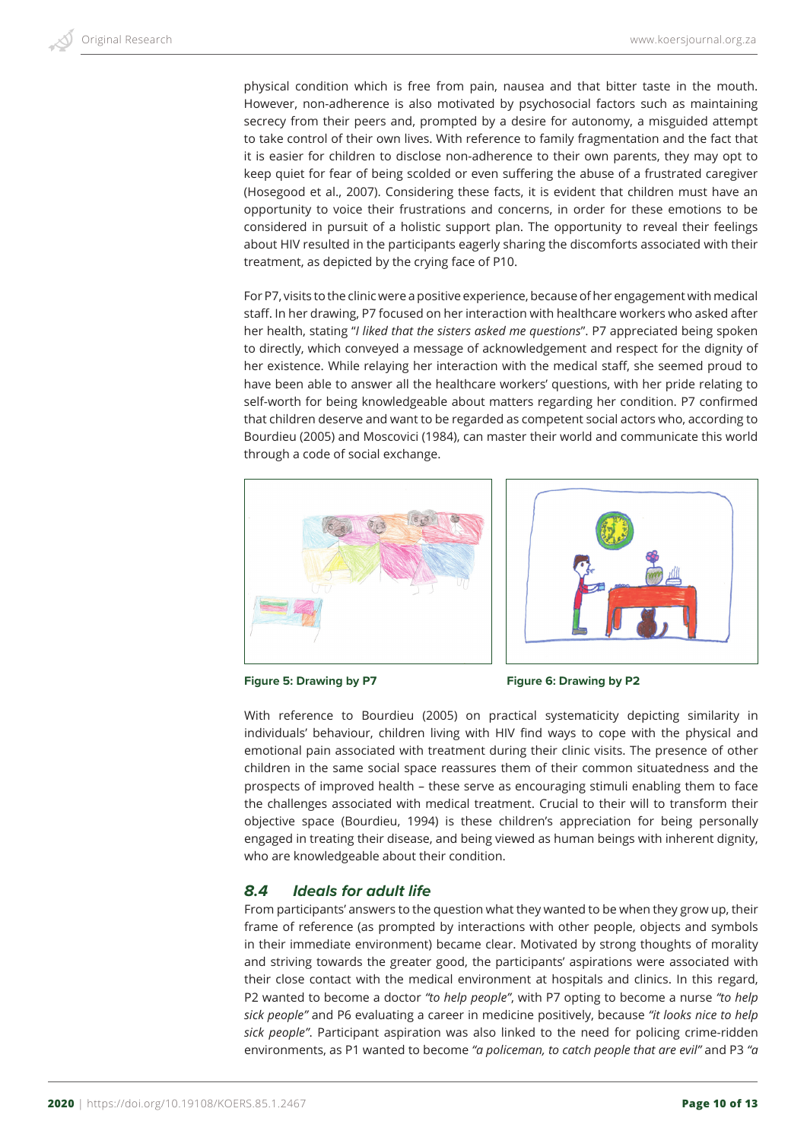physical condition which is free from pain, nausea and that bitter taste in the mouth. However, non-adherence is also motivated by psychosocial factors such as maintaining secrecy from their peers and, prompted by a desire for autonomy, a misguided attempt to take control of their own lives. With reference to family fragmentation and the fact that it is easier for children to disclose non-adherence to their own parents, they may opt to keep quiet for fear of being scolded or even suffering the abuse of a frustrated caregiver (Hosegood et al., 2007). Considering these facts, it is evident that children must have an opportunity to voice their frustrations and concerns, in order for these emotions to be considered in pursuit of a holistic support plan. The opportunity to reveal their feelings about HIV resulted in the participants eagerly sharing the discomforts associated with their treatment, as depicted by the crying face of P10.

For P7, visits to the clinic were a positive experience, because of her engagement with medical staff. In her drawing, P7 focused on her interaction with healthcare workers who asked after her health, stating "*I liked that the sisters asked me questions*". P7 appreciated being spoken to directly, which conveyed a message of acknowledgement and respect for the dignity of her existence. While relaying her interaction with the medical staff, she seemed proud to have been able to answer all the healthcare workers' questions, with her pride relating to self-worth for being knowledgeable about matters regarding her condition. P7 confirmed that children deserve and want to be regarded as competent social actors who, according to Bourdieu (2005) and Moscovici (1984), can master their world and communicate this world through a code of social exchange.





Figure 5: Drawing by P7 Figure 6: Drawing by P2

With reference to Bourdieu (2005) on practical systematicity depicting similarity in individuals' behaviour, children living with HIV find ways to cope with the physical and emotional pain associated with treatment during their clinic visits. The presence of other children in the same social space reassures them of their common situatedness and the prospects of improved health – these serve as encouraging stimuli enabling them to face the challenges associated with medical treatment. Crucial to their will to transform their objective space (Bourdieu, 1994) is these children's appreciation for being personally engaged in treating their disease, and being viewed as human beings with inherent dignity, who are knowledgeable about their condition.

#### *8.4 Ideals for adult life*

From participants' answers to the question what they wanted to be when they grow up, their frame of reference (as prompted by interactions with other people, objects and symbols in their immediate environment) became clear. Motivated by strong thoughts of morality and striving towards the greater good, the participants' aspirations were associated with their close contact with the medical environment at hospitals and clinics. In this regard, P2 wanted to become a doctor *"to help people"*, with P7 opting to become a nurse *"to help sick people"* and P6 evaluating a career in medicine positively, because *"it looks nice to help sick people"*. Participant aspiration was also linked to the need for policing crime-ridden environments, as P1 wanted to become *"a policeman, to catch people that are evil"* and P3 *"a*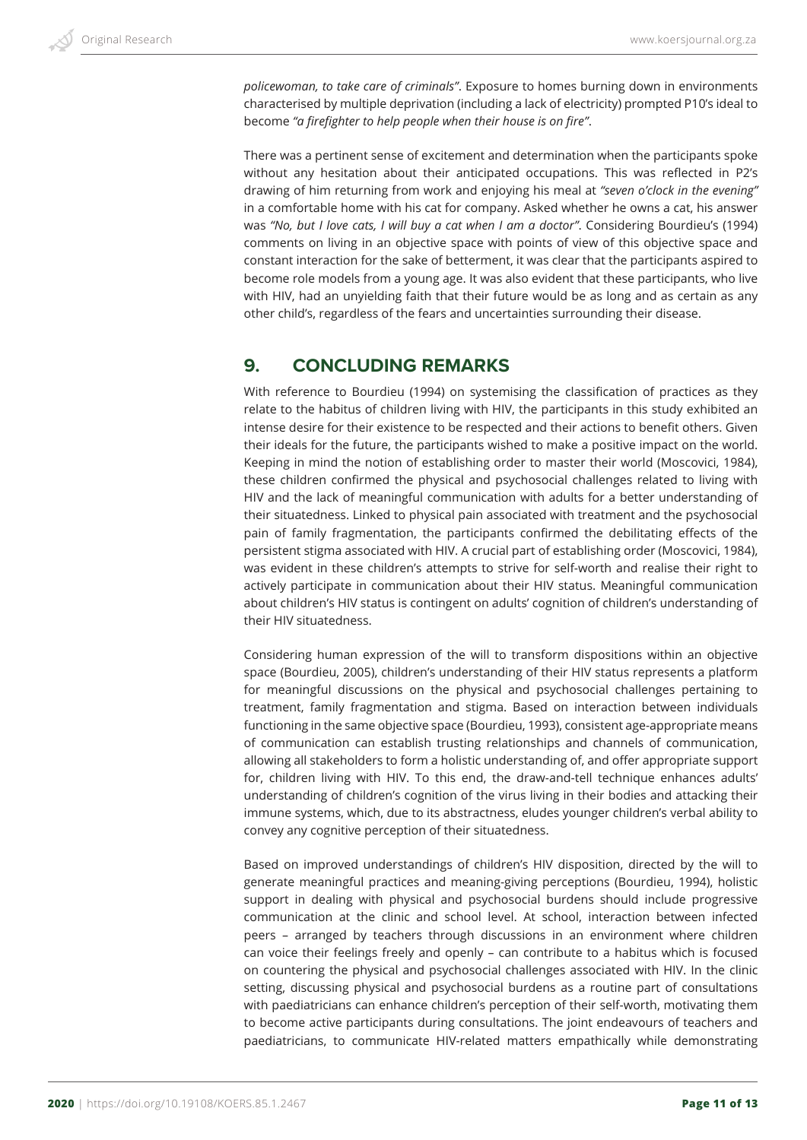*policewoman, to take care of criminals"*. Exposure to homes burning down in environments characterised by multiple deprivation (including a lack of electricity) prompted P10's ideal to become *"a firefighter to help people when their house is on fire"*.

There was a pertinent sense of excitement and determination when the participants spoke without any hesitation about their anticipated occupations. This was reflected in P2's drawing of him returning from work and enjoying his meal at *"seven o'clock in the evening"* in a comfortable home with his cat for company. Asked whether he owns a cat, his answer was *"No, but I love cats, I will buy a cat when I am a doctor"*. Considering Bourdieu's (1994) comments on living in an objective space with points of view of this objective space and constant interaction for the sake of betterment, it was clear that the participants aspired to become role models from a young age. It was also evident that these participants, who live with HIV, had an unyielding faith that their future would be as long and as certain as any other child's, regardless of the fears and uncertainties surrounding their disease.

## **9. CONCLUDING REMARKS**

With reference to Bourdieu (1994) on systemising the classification of practices as they relate to the habitus of children living with HIV, the participants in this study exhibited an intense desire for their existence to be respected and their actions to benefit others. Given their ideals for the future, the participants wished to make a positive impact on the world. Keeping in mind the notion of establishing order to master their world (Moscovici, 1984), these children confirmed the physical and psychosocial challenges related to living with HIV and the lack of meaningful communication with adults for a better understanding of their situatedness. Linked to physical pain associated with treatment and the psychosocial pain of family fragmentation, the participants confirmed the debilitating effects of the persistent stigma associated with HIV. A crucial part of establishing order (Moscovici, 1984), was evident in these children's attempts to strive for self-worth and realise their right to actively participate in communication about their HIV status. Meaningful communication about children's HIV status is contingent on adults' cognition of children's understanding of their HIV situatedness.

Considering human expression of the will to transform dispositions within an objective space (Bourdieu, 2005), children's understanding of their HIV status represents a platform for meaningful discussions on the physical and psychosocial challenges pertaining to treatment, family fragmentation and stigma. Based on interaction between individuals functioning in the same objective space (Bourdieu, 1993), consistent age-appropriate means of communication can establish trusting relationships and channels of communication, allowing all stakeholders to form a holistic understanding of, and offer appropriate support for, children living with HIV. To this end, the draw-and-tell technique enhances adults' understanding of children's cognition of the virus living in their bodies and attacking their immune systems, which, due to its abstractness, eludes younger children's verbal ability to convey any cognitive perception of their situatedness.

Based on improved understandings of children's HIV disposition, directed by the will to generate meaningful practices and meaning-giving perceptions (Bourdieu, 1994), holistic support in dealing with physical and psychosocial burdens should include progressive communication at the clinic and school level. At school, interaction between infected peers – arranged by teachers through discussions in an environment where children can voice their feelings freely and openly – can contribute to a habitus which is focused on countering the physical and psychosocial challenges associated with HIV. In the clinic setting, discussing physical and psychosocial burdens as a routine part of consultations with paediatricians can enhance children's perception of their self-worth, motivating them to become active participants during consultations. The joint endeavours of teachers and paediatricians, to communicate HIV-related matters empathically while demonstrating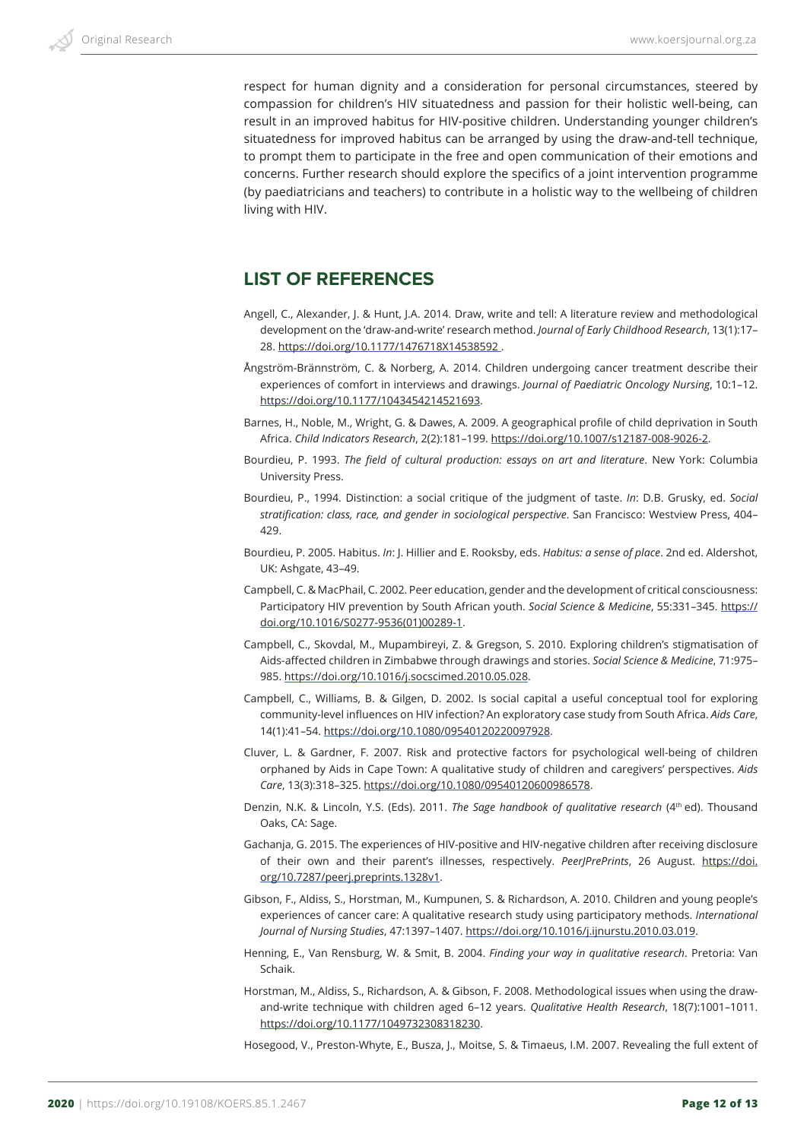respect for human dignity and a consideration for personal circumstances, steered by compassion for children's HIV situatedness and passion for their holistic well-being, can result in an improved habitus for HIV-positive children. Understanding younger children's situatedness for improved habitus can be arranged by using the draw-and-tell technique, to prompt them to participate in the free and open communication of their emotions and concerns. Further research should explore the specifics of a joint intervention programme (by paediatricians and teachers) to contribute in a holistic way to the wellbeing of children living with HIV.

## **LIST OF REFERENCES**

- Angell, C., Alexander, J. & Hunt, J.A. 2014. Draw, write and tell: A literature review and methodological development on the 'draw-and-write' research method. *Journal of Early Childhood Research*, 13(1):17– 28. https://doi.org/10.1177/1476718X14538592 .
- Ångström-Brännström, C. & Norberg, A. 2014. Children undergoing cancer treatment describe their experiences of comfort in interviews and drawings. *Journal of Paediatric Oncology Nursing*, 10:1–12. https://doi.org/10.1177/1043454214521693.
- Barnes, H., Noble, M., Wright, G. & Dawes, A. 2009. A geographical profile of child deprivation in South Africa. *Child Indicators Research*, 2(2):181–199. https://doi.org/10.1007/s12187-008-9026-2.
- Bourdieu, P. 1993. *The field of cultural production: essays on art and literature*. New York: Columbia University Press.
- Bourdieu, P., 1994. Distinction: a social critique of the judgment of taste. *In*: D.B. Grusky, ed. *Social stratification: class, race, and gender in sociological perspective*. San Francisco: Westview Press, 404– 429.
- Bourdieu, P. 2005. Habitus. *In*: J. Hillier and E. Rooksby, eds. *Habitus: a sense of place*. 2nd ed. Aldershot, UK: Ashgate, 43–49.
- Campbell, C. & MacPhail, C. 2002. Peer education, gender and the development of critical consciousness: Participatory HIV prevention by South African youth. *Social Science & Medicine*, 55:331–345. https:// doi.org/10.1016/S0277-9536(01)00289-1.
- Campbell, C., Skovdal, M., Mupambireyi, Z. & Gregson, S. 2010. Exploring children's stigmatisation of Aids-affected children in Zimbabwe through drawings and stories. *Social Science & Medicine*, 71:975– 985. https://doi.org/10.1016/j.socscimed.2010.05.028.
- Campbell, C., Williams, B. & Gilgen, D. 2002. Is social capital a useful conceptual tool for exploring community-level influences on HIV infection? An exploratory case study from South Africa. *Aids Care*, 14(1):41–54. https://doi.org/10.1080/09540120220097928.
- Cluver, L. & Gardner, F. 2007. Risk and protective factors for psychological well-being of children orphaned by Aids in Cape Town: A qualitative study of children and caregivers' perspectives. *Aids Care*, 13(3):318–325. https://doi.org/10.1080/09540120600986578.
- Denzin, N.K. & Lincoln, Y.S. (Eds). 2011. *The Sage handbook of qualitative research* (4<sup>th</sup> ed). Thousand Oaks, CA: Sage.
- Gachanja, G. 2015. The experiences of HIV-positive and HIV-negative children after receiving disclosure of their own and their parent's illnesses, respectively. *PeerJPrePrints*, 26 August. https://doi. org/10.7287/peerj.preprints.1328v1.
- Gibson, F., Aldiss, S., Horstman, M., Kumpunen, S. & Richardson, A. 2010. Children and young people's experiences of cancer care: A qualitative research study using participatory methods. *International Journal of Nursing Studies*, 47:1397–1407. https://doi.org/10.1016/j.ijnurstu.2010.03.019.
- Henning, E., Van Rensburg, W. & Smit, B. 2004. *Finding your way in qualitative research*. Pretoria: Van Schaik.
- Horstman, M., Aldiss, S., Richardson, A. & Gibson, F. 2008. Methodological issues when using the drawand-write technique with children aged 6–12 years. *Qualitative Health Research*, 18(7):1001–1011. https://doi.org/10.1177/1049732308318230.
- Hosegood, V., Preston-Whyte, E., Busza, J., Moitse, S. & Timaeus, I.M. 2007. Revealing the full extent of